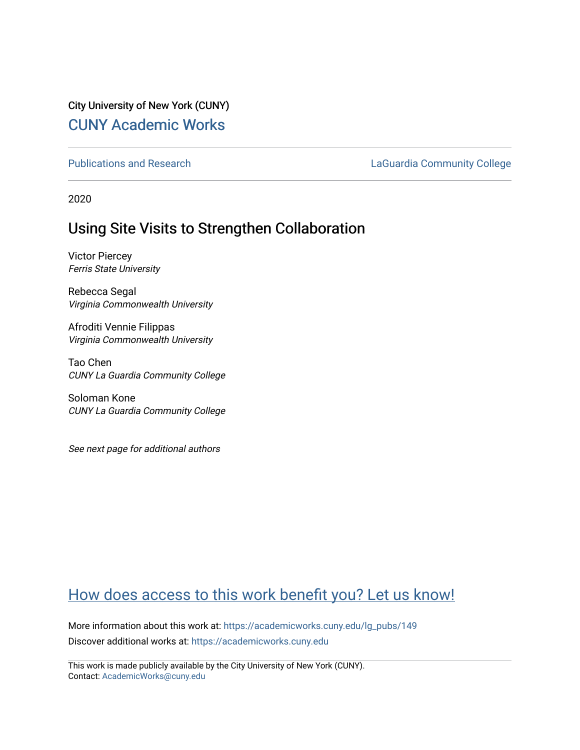# City University of New York (CUNY) [CUNY Academic Works](https://academicworks.cuny.edu/)

[Publications and Research](https://academicworks.cuny.edu/lg_pubs) **LaGuardia Community College** 

2020

# Using Site Visits to Strengthen Collaboration

Victor Piercey Ferris State University

Rebecca Segal Virginia Commonwealth University

Afroditi Vennie Filippas Virginia Commonwealth University

Tao Chen CUNY La Guardia Community College

Soloman Kone CUNY La Guardia Community College

See next page for additional authors

# [How does access to this work benefit you? Let us know!](http://ols.cuny.edu/academicworks/?ref=https://academicworks.cuny.edu/lg_pubs/149)

More information about this work at: [https://academicworks.cuny.edu/lg\\_pubs/149](https://academicworks.cuny.edu/lg_pubs/149)  Discover additional works at: [https://academicworks.cuny.edu](https://academicworks.cuny.edu/?)

This work is made publicly available by the City University of New York (CUNY). Contact: [AcademicWorks@cuny.edu](mailto:AcademicWorks@cuny.edu)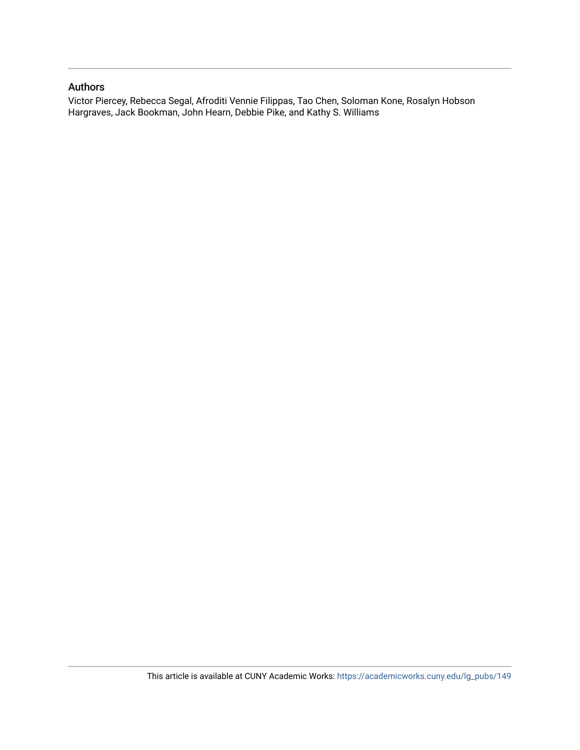#### Authors

Victor Piercey, Rebecca Segal, Afroditi Vennie Filippas, Tao Chen, Soloman Kone, Rosalyn Hobson Hargraves, Jack Bookman, John Hearn, Debbie Pike, and Kathy S. Williams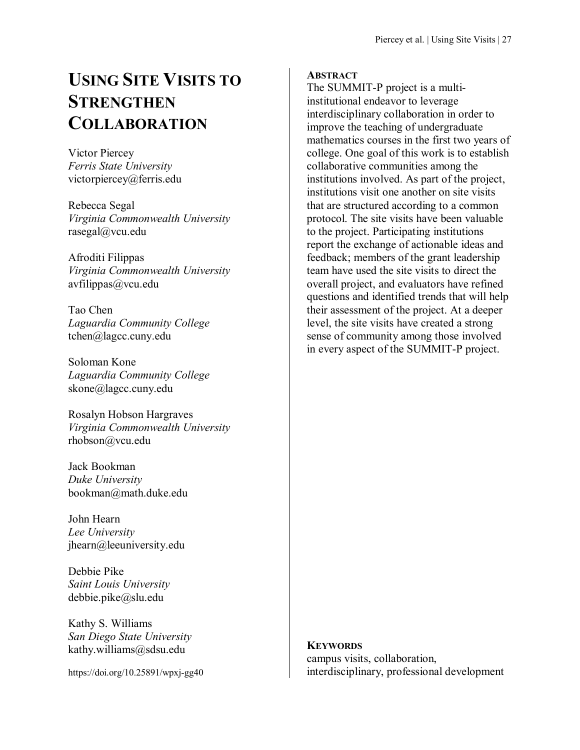# **USING SITE VISITS TO STRENGTHEN COLLABORATION**

Victor Piercey *Ferris State University* victorpiercey@ferris.edu

Rebecca Segal *Virginia Commonwealth University* rasegal@vcu.edu

Afroditi Filippas *Virginia Commonwealth University* avfilippas@vcu.edu

Tao Chen *Laguardia Community College* tchen@lagcc.cuny.edu

Soloman Kone *Laguardia Community College* skone@lagcc.cuny.edu

Rosalyn Hobson Hargraves *Virginia Commonwealth University* rhobson@vcu.edu

Jack Bookman *Duke University* bookman@math.duke.edu

John Hearn *Lee University* jhearn@leeuniversity.edu

Debbie Pike *Saint Louis University* debbie.pike@slu.edu

Kathy S. Williams *San Diego State University* kathy.williams@sdsu.edu

https://doi.org/10.25891/wpxj-gg40

## **ABSTRACT**

The SUMMIT-P project is a multiinstitutional endeavor to leverage interdisciplinary collaboration in order to improve the teaching of undergraduate mathematics courses in the first two years of college. One goal of this work is to establish collaborative communities among the institutions involved. As part of the project, institutions visit one another on site visits that are structured according to a common protocol. The site visits have been valuable to the project. Participating institutions report the exchange of actionable ideas and feedback; members of the grant leadership team have used the site visits to direct the overall project, and evaluators have refined questions and identified trends that will help their assessment of the project. At a deeper level, the site visits have created a strong sense of community among those involved in every aspect of the SUMMIT-P project.

# **KEYWORDS** campus visits, collaboration, interdisciplinary, professional development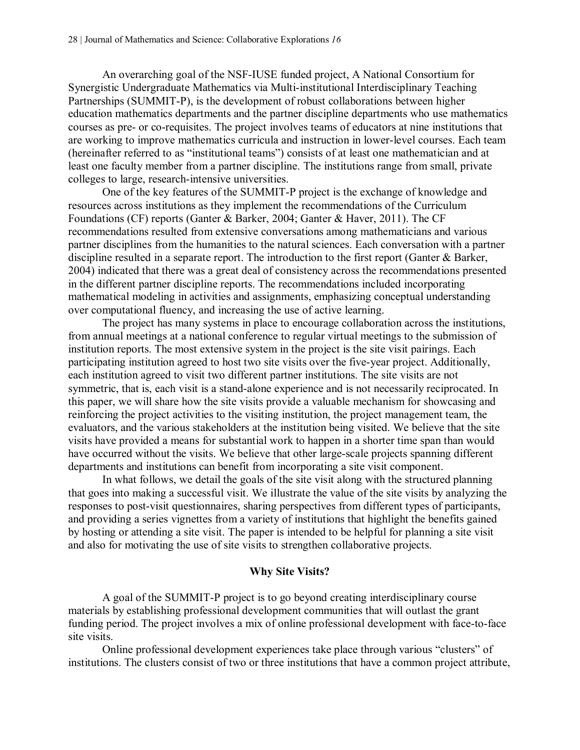An overarching goal of the NSF-IUSE funded project, A National Consortium for Synergistic Undergraduate Mathematics via Multi-institutional Interdisciplinary Teaching Partnerships (SUMMIT-P), is the development of robust collaborations between higher education mathematics departments and the partner discipline departments who use mathematics courses as pre- or co-requisites. The project involves teams of educators at nine institutions that are working to improve mathematics curricula and instruction in lower-level courses. Each team (hereinafter referred to as "institutional teams") consists of at least one mathematician and at least one faculty member from a partner discipline. The institutions range from small, private colleges to large, research-intensive universities.

One of the key features of the SUMMIT-P project is the exchange of knowledge and resources across institutions as they implement the recommendations of the Curriculum Foundations (CF) reports (Ganter & Barker, 2004; Ganter & Haver, 2011). The CF recommendations resulted from extensive conversations among mathematicians and various partner disciplines from the humanities to the natural sciences. Each conversation with a partner discipline resulted in a separate report. The introduction to the first report (Ganter & Barker, 2004) indicated that there was a great deal of consistency across the recommendations presented in the different partner discipline reports. The recommendations included incorporating mathematical modeling in activities and assignments, emphasizing conceptual understanding over computational fluency, and increasing the use of active learning.

The project has many systems in place to encourage collaboration across the institutions, from annual meetings at a national conference to regular virtual meetings to the submission of institution reports. The most extensive system in the project is the site visit pairings. Each participating institution agreed to host two site visits over the five-year project. Additionally, each institution agreed to visit two different partner institutions. The site visits are not symmetric, that is, each visit is a stand-alone experience and is not necessarily reciprocated. In this paper, we will share how the site visits provide a valuable mechanism for showcasing and reinforcing the project activities to the visiting institution, the project management team, the evaluators, and the various stakeholders at the institution being visited. We believe that the site visits have provided a means for substantial work to happen in a shorter time span than would have occurred without the visits. We believe that other large-scale projects spanning different departments and institutions can benefit from incorporating a site visit component.

In what follows, we detail the goals of the site visit along with the structured planning that goes into making a successful visit. We illustrate the value of the site visits by analyzing the responses to post-visit questionnaires, sharing perspectives from different types of participants, and providing a series vignettes from a variety of institutions that highlight the benefits gained by hosting or attending a site visit. The paper is intended to be helpful for planning a site visit and also for motivating the use of site visits to strengthen collaborative projects.

#### **Why Site Visits?**

A goal of the SUMMIT-P project is to go beyond creating interdisciplinary course materials by establishing professional development communities that will outlast the grant funding period. The project involves a mix of online professional development with face-to-face site visits.

Online professional development experiences take place through various "clusters" of institutions. The clusters consist of two or three institutions that have a common project attribute,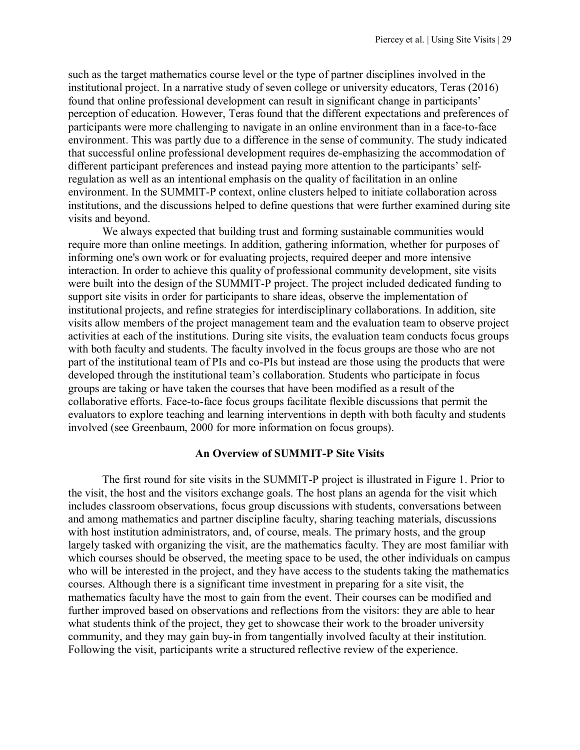such as the target mathematics course level or the type of partner disciplines involved in the institutional project. In a narrative study of seven college or university educators, Teras (2016) found that online professional development can result in significant change in participants' perception of education. However, Teras found that the different expectations and preferences of participants were more challenging to navigate in an online environment than in a face-to-face environment. This was partly due to a difference in the sense of community. The study indicated that successful online professional development requires de-emphasizing the accommodation of different participant preferences and instead paying more attention to the participants' selfregulation as well as an intentional emphasis on the quality of facilitation in an online environment. In the SUMMIT-P context, online clusters helped to initiate collaboration across institutions, and the discussions helped to define questions that were further examined during site visits and beyond.

We always expected that building trust and forming sustainable communities would require more than online meetings. In addition, gathering information, whether for purposes of informing one's own work or for evaluating projects, required deeper and more intensive interaction. In order to achieve this quality of professional community development, site visits were built into the design of the SUMMIT-P project. The project included dedicated funding to support site visits in order for participants to share ideas, observe the implementation of institutional projects, and refine strategies for interdisciplinary collaborations. In addition, site visits allow members of the project management team and the evaluation team to observe project activities at each of the institutions. During site visits, the evaluation team conducts focus groups with both faculty and students. The faculty involved in the focus groups are those who are not part of the institutional team of PIs and co-PIs but instead are those using the products that were developed through the institutional team's collaboration. Students who participate in focus groups are taking or have taken the courses that have been modified as a result of the collaborative efforts. Face-to-face focus groups facilitate flexible discussions that permit the evaluators to explore teaching and learning interventions in depth with both faculty and students involved (see Greenbaum, 2000 for more information on focus groups).

#### **An Overview of SUMMIT-P Site Visits**

The first round for site visits in the SUMMIT-P project is illustrated in Figure 1. Prior to the visit, the host and the visitors exchange goals. The host plans an agenda for the visit which includes classroom observations, focus group discussions with students, conversations between and among mathematics and partner discipline faculty, sharing teaching materials, discussions with host institution administrators, and, of course, meals. The primary hosts, and the group largely tasked with organizing the visit, are the mathematics faculty. They are most familiar with which courses should be observed, the meeting space to be used, the other individuals on campus who will be interested in the project, and they have access to the students taking the mathematics courses. Although there is a significant time investment in preparing for a site visit, the mathematics faculty have the most to gain from the event. Their courses can be modified and further improved based on observations and reflections from the visitors: they are able to hear what students think of the project, they get to showcase their work to the broader university community, and they may gain buy-in from tangentially involved faculty at their institution. Following the visit, participants write a structured reflective review of the experience.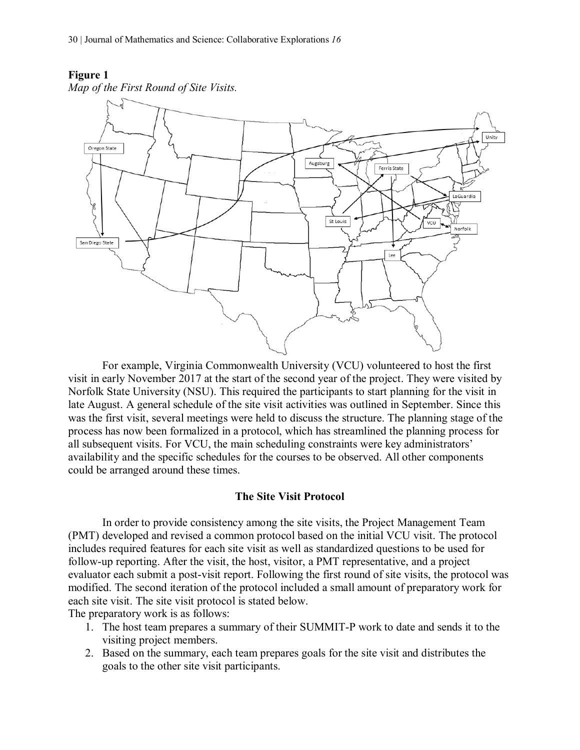*Map of the First Round of Site Visits.*

#### **Figure 1**



For example, Virginia Commonwealth University (VCU) volunteered to host the first visit in early November 2017 at the start of the second year of the project. They were visited by Norfolk State University (NSU). This required the participants to start planning for the visit in late August. A general schedule of the site visit activities was outlined in September. Since this was the first visit, several meetings were held to discuss the structure. The planning stage of the process has now been formalized in a protocol, which has streamlined the planning process for all subsequent visits. For VCU, the main scheduling constraints were key administrators' availability and the specific schedules for the courses to be observed. All other components could be arranged around these times.

#### **The Site Visit Protocol**

In order to provide consistency among the site visits, the Project Management Team (PMT) developed and revised a common protocol based on the initial VCU visit. The protocol includes required features for each site visit as well as standardized questions to be used for follow-up reporting. After the visit, the host, visitor, a PMT representative, and a project evaluator each submit a post-visit report. Following the first round of site visits, the protocol was modified. The second iteration of the protocol included a small amount of preparatory work for each site visit. The site visit protocol is stated below.

The preparatory work is as follows:

- 1. The host team prepares a summary of their SUMMIT-P work to date and sends it to the visiting project members.
- 2. Based on the summary, each team prepares goals for the site visit and distributes the goals to the other site visit participants.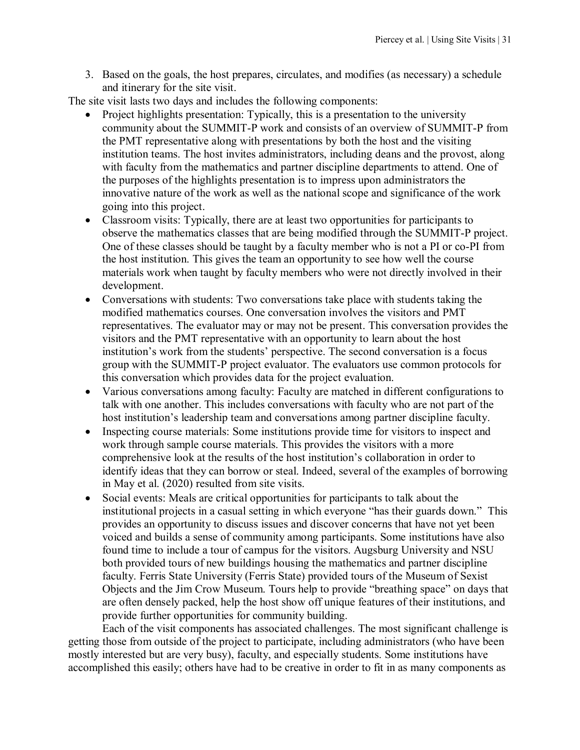3. Based on the goals, the host prepares, circulates, and modifies (as necessary) a schedule and itinerary for the site visit.

The site visit lasts two days and includes the following components:

- Project highlights presentation: Typically, this is a presentation to the university community about the SUMMIT-P work and consists of an overview of SUMMIT-P from the PMT representative along with presentations by both the host and the visiting institution teams. The host invites administrators, including deans and the provost, along with faculty from the mathematics and partner discipline departments to attend. One of the purposes of the highlights presentation is to impress upon administrators the innovative nature of the work as well as the national scope and significance of the work going into this project.
- Classroom visits: Typically, there are at least two opportunities for participants to observe the mathematics classes that are being modified through the SUMMIT-P project. One of these classes should be taught by a faculty member who is not a PI or co-PI from the host institution. This gives the team an opportunity to see how well the course materials work when taught by faculty members who were not directly involved in their development.
- Conversations with students: Two conversations take place with students taking the modified mathematics courses. One conversation involves the visitors and PMT representatives. The evaluator may or may not be present. This conversation provides the visitors and the PMT representative with an opportunity to learn about the host institution's work from the students' perspective. The second conversation is a focus group with the SUMMIT-P project evaluator. The evaluators use common protocols for this conversation which provides data for the project evaluation.
- Various conversations among faculty: Faculty are matched in different configurations to talk with one another. This includes conversations with faculty who are not part of the host institution's leadership team and conversations among partner discipline faculty.
- Inspecting course materials: Some institutions provide time for visitors to inspect and work through sample course materials. This provides the visitors with a more comprehensive look at the results of the host institution's collaboration in order to identify ideas that they can borrow or steal. Indeed, several of the examples of borrowing in May et al. (2020) resulted from site visits.
- Social events: Meals are critical opportunities for participants to talk about the institutional projects in a casual setting in which everyone "has their guards down." This provides an opportunity to discuss issues and discover concerns that have not yet been voiced and builds a sense of community among participants. Some institutions have also found time to include a tour of campus for the visitors. Augsburg University and NSU both provided tours of new buildings housing the mathematics and partner discipline faculty. Ferris State University (Ferris State) provided tours of the Museum of Sexist Objects and the Jim Crow Museum. Tours help to provide "breathing space" on days that are often densely packed, help the host show off unique features of their institutions, and provide further opportunities for community building.

Each of the visit components has associated challenges. The most significant challenge is getting those from outside of the project to participate, including administrators (who have been mostly interested but are very busy), faculty, and especially students. Some institutions have accomplished this easily; others have had to be creative in order to fit in as many components as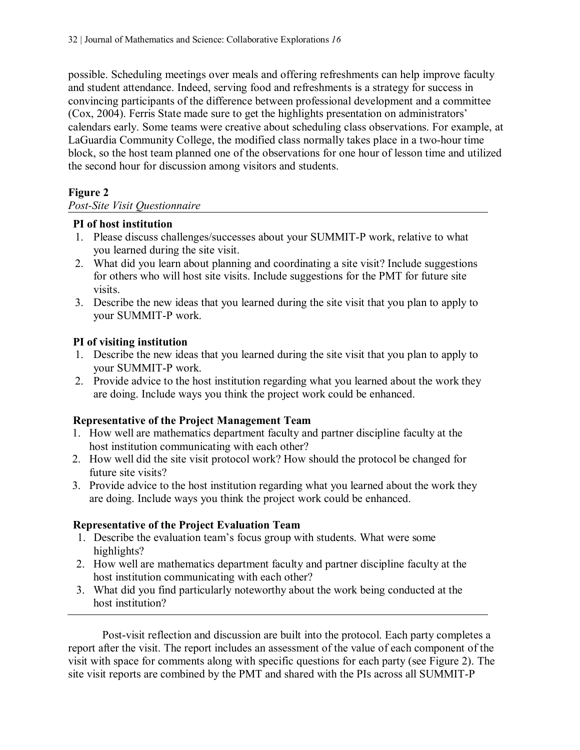possible. Scheduling meetings over meals and offering refreshments can help improve faculty and student attendance. Indeed, serving food and refreshments is a strategy for success in convincing participants of the difference between professional development and a committee (Cox, 2004). Ferris State made sure to get the highlights presentation on administrators' calendars early. Some teams were creative about scheduling class observations. For example, at LaGuardia Community College, the modified class normally takes place in a two-hour time block, so the host team planned one of the observations for one hour of lesson time and utilized the second hour for discussion among visitors and students.

# **Figure 2**

# *Post-Site Visit Questionnaire*

## **PI of host institution**

- 1. Please discuss challenges/successes about your SUMMIT-P work, relative to what you learned during the site visit.
- 2. What did you learn about planning and coordinating a site visit? Include suggestions for others who will host site visits. Include suggestions for the PMT for future site visits.
- 3. Describe the new ideas that you learned during the site visit that you plan to apply to your SUMMIT-P work.

# **PI of visiting institution**

- 1. Describe the new ideas that you learned during the site visit that you plan to apply to your SUMMIT-P work.
- 2. Provide advice to the host institution regarding what you learned about the work they are doing. Include ways you think the project work could be enhanced.

# **Representative of the Project Management Team**

- 1. How well are mathematics department faculty and partner discipline faculty at the host institution communicating with each other?
- 2. How well did the site visit protocol work? How should the protocol be changed for future site visits?
- 3. Provide advice to the host institution regarding what you learned about the work they are doing. Include ways you think the project work could be enhanced.

#### **Representative of the Project Evaluation Team**

- 1. Describe the evaluation team's focus group with students. What were some highlights?
- 2. How well are mathematics department faculty and partner discipline faculty at the host institution communicating with each other?
- 3. What did you find particularly noteworthy about the work being conducted at the host institution?

Post-visit reflection and discussion are built into the protocol. Each party completes a report after the visit. The report includes an assessment of the value of each component of the visit with space for comments along with specific questions for each party (see Figure 2). The site visit reports are combined by the PMT and shared with the PIs across all SUMMIT-P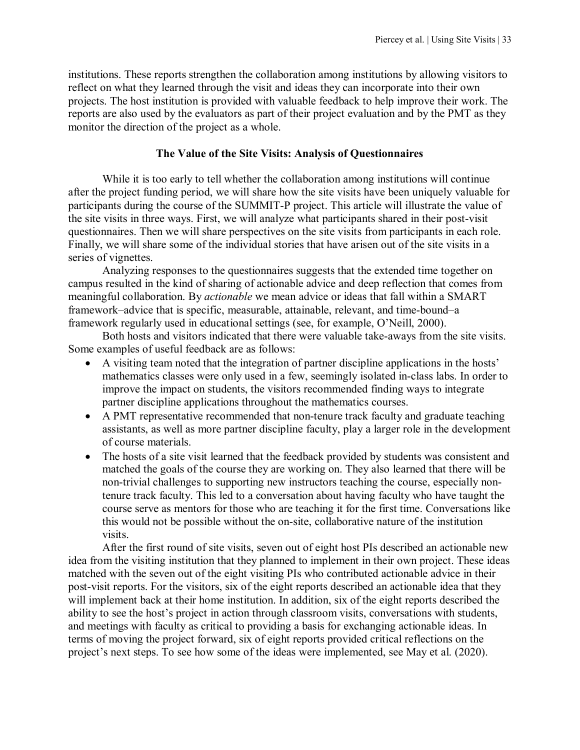institutions. These reports strengthen the collaboration among institutions by allowing visitors to reflect on what they learned through the visit and ideas they can incorporate into their own projects. The host institution is provided with valuable feedback to help improve their work. The reports are also used by the evaluators as part of their project evaluation and by the PMT as they monitor the direction of the project as a whole.

#### **The Value of the Site Visits: Analysis of Questionnaires**

While it is too early to tell whether the collaboration among institutions will continue after the project funding period, we will share how the site visits have been uniquely valuable for participants during the course of the SUMMIT-P project. This article will illustrate the value of the site visits in three ways. First, we will analyze what participants shared in their post-visit questionnaires. Then we will share perspectives on the site visits from participants in each role. Finally, we will share some of the individual stories that have arisen out of the site visits in a series of vignettes.

Analyzing responses to the questionnaires suggests that the extended time together on campus resulted in the kind of sharing of actionable advice and deep reflection that comes from meaningful collaboration. By *actionable* we mean advice or ideas that fall within a SMART framework–advice that is specific, measurable, attainable, relevant, and time-bound–a framework regularly used in educational settings (see, for example, O'Neill, 2000).

Both hosts and visitors indicated that there were valuable take-aways from the site visits. Some examples of useful feedback are as follows:

- A visiting team noted that the integration of partner discipline applications in the hosts' mathematics classes were only used in a few, seemingly isolated in-class labs. In order to improve the impact on students, the visitors recommended finding ways to integrate partner discipline applications throughout the mathematics courses.
- A PMT representative recommended that non-tenure track faculty and graduate teaching assistants, as well as more partner discipline faculty, play a larger role in the development of course materials.
- The hosts of a site visit learned that the feedback provided by students was consistent and matched the goals of the course they are working on. They also learned that there will be non-trivial challenges to supporting new instructors teaching the course, especially nontenure track faculty. This led to a conversation about having faculty who have taught the course serve as mentors for those who are teaching it for the first time. Conversations like this would not be possible without the on-site, collaborative nature of the institution visits.

After the first round of site visits, seven out of eight host PIs described an actionable new idea from the visiting institution that they planned to implement in their own project. These ideas matched with the seven out of the eight visiting PIs who contributed actionable advice in their post-visit reports. For the visitors, six of the eight reports described an actionable idea that they will implement back at their home institution. In addition, six of the eight reports described the ability to see the host's project in action through classroom visits, conversations with students, and meetings with faculty as critical to providing a basis for exchanging actionable ideas. In terms of moving the project forward, six of eight reports provided critical reflections on the project's next steps. To see how some of the ideas were implemented, see May et al. (2020).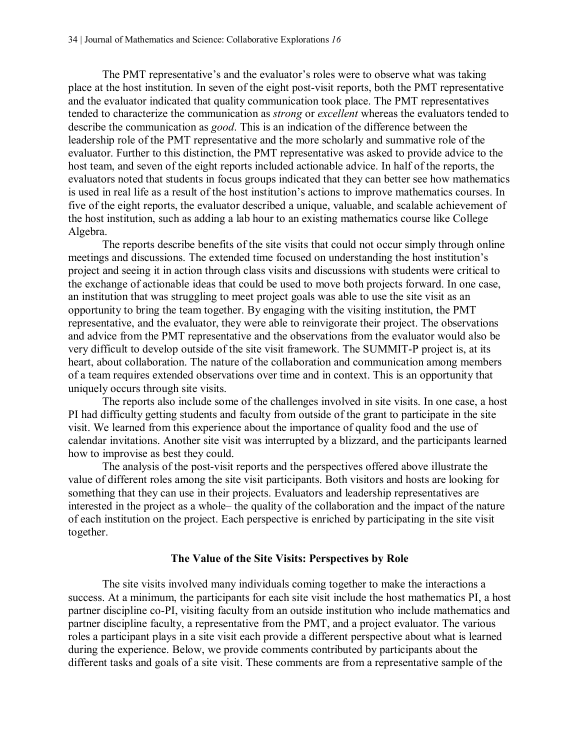The PMT representative's and the evaluator's roles were to observe what was taking place at the host institution. In seven of the eight post-visit reports, both the PMT representative and the evaluator indicated that quality communication took place. The PMT representatives tended to characterize the communication as *strong* or *excellent* whereas the evaluators tended to describe the communication as *good*. This is an indication of the difference between the leadership role of the PMT representative and the more scholarly and summative role of the evaluator. Further to this distinction, the PMT representative was asked to provide advice to the host team, and seven of the eight reports included actionable advice. In half of the reports, the evaluators noted that students in focus groups indicated that they can better see how mathematics is used in real life as a result of the host institution's actions to improve mathematics courses. In five of the eight reports, the evaluator described a unique, valuable, and scalable achievement of the host institution, such as adding a lab hour to an existing mathematics course like College Algebra.

The reports describe benefits of the site visits that could not occur simply through online meetings and discussions. The extended time focused on understanding the host institution's project and seeing it in action through class visits and discussions with students were critical to the exchange of actionable ideas that could be used to move both projects forward. In one case, an institution that was struggling to meet project goals was able to use the site visit as an opportunity to bring the team together. By engaging with the visiting institution, the PMT representative, and the evaluator, they were able to reinvigorate their project. The observations and advice from the PMT representative and the observations from the evaluator would also be very difficult to develop outside of the site visit framework. The SUMMIT-P project is, at its heart, about collaboration. The nature of the collaboration and communication among members of a team requires extended observations over time and in context. This is an opportunity that uniquely occurs through site visits.

The reports also include some of the challenges involved in site visits. In one case, a host PI had difficulty getting students and faculty from outside of the grant to participate in the site visit. We learned from this experience about the importance of quality food and the use of calendar invitations. Another site visit was interrupted by a blizzard, and the participants learned how to improvise as best they could.

The analysis of the post-visit reports and the perspectives offered above illustrate the value of different roles among the site visit participants. Both visitors and hosts are looking for something that they can use in their projects. Evaluators and leadership representatives are interested in the project as a whole– the quality of the collaboration and the impact of the nature of each institution on the project. Each perspective is enriched by participating in the site visit together.

#### **The Value of the Site Visits: Perspectives by Role**

The site visits involved many individuals coming together to make the interactions a success. At a minimum, the participants for each site visit include the host mathematics PI, a host partner discipline co-PI, visiting faculty from an outside institution who include mathematics and partner discipline faculty, a representative from the PMT, and a project evaluator. The various roles a participant plays in a site visit each provide a different perspective about what is learned during the experience. Below, we provide comments contributed by participants about the different tasks and goals of a site visit. These comments are from a representative sample of the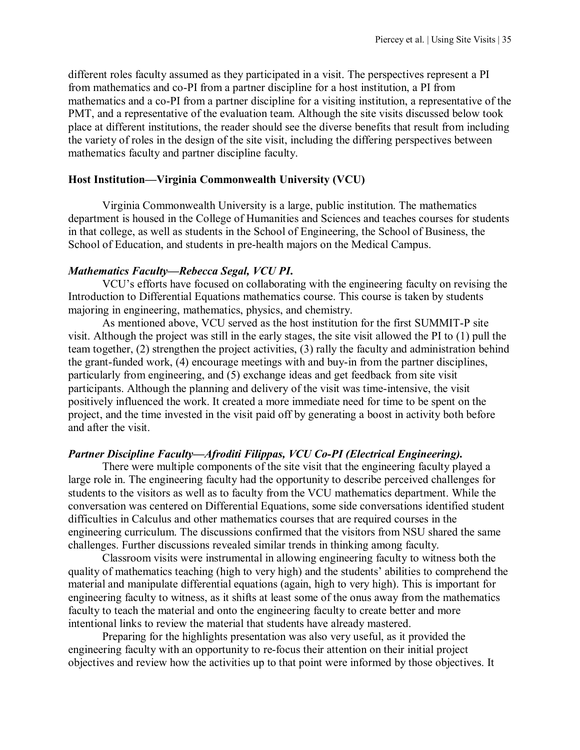different roles faculty assumed as they participated in a visit. The perspectives represent a PI from mathematics and co-PI from a partner discipline for a host institution, a PI from mathematics and a co-PI from a partner discipline for a visiting institution, a representative of the PMT, and a representative of the evaluation team. Although the site visits discussed below took place at different institutions, the reader should see the diverse benefits that result from including the variety of roles in the design of the site visit, including the differing perspectives between mathematics faculty and partner discipline faculty.

# **Host Institution—Virginia Commonwealth University (VCU)**

Virginia Commonwealth University is a large, public institution. The mathematics department is housed in the College of Humanities and Sciences and teaches courses for students in that college, as well as students in the School of Engineering, the School of Business, the School of Education, and students in pre-health majors on the Medical Campus.

## *Mathematics Faculty—Rebecca Segal, VCU PI***.**

VCU's efforts have focused on collaborating with the engineering faculty on revising the Introduction to Differential Equations mathematics course. This course is taken by students majoring in engineering, mathematics, physics, and chemistry.

As mentioned above, VCU served as the host institution for the first SUMMIT-P site visit. Although the project was still in the early stages, the site visit allowed the PI to (1) pull the team together, (2) strengthen the project activities, (3) rally the faculty and administration behind the grant-funded work, (4) encourage meetings with and buy-in from the partner disciplines, particularly from engineering, and (5) exchange ideas and get feedback from site visit participants. Although the planning and delivery of the visit was time-intensive, the visit positively influenced the work. It created a more immediate need for time to be spent on the project, and the time invested in the visit paid off by generating a boost in activity both before and after the visit.

# *Partner Discipline Faculty—Afroditi Filippas, VCU Co-PI (Electrical Engineering).*

There were multiple components of the site visit that the engineering faculty played a large role in. The engineering faculty had the opportunity to describe perceived challenges for students to the visitors as well as to faculty from the VCU mathematics department. While the conversation was centered on Differential Equations, some side conversations identified student difficulties in Calculus and other mathematics courses that are required courses in the engineering curriculum. The discussions confirmed that the visitors from NSU shared the same challenges. Further discussions revealed similar trends in thinking among faculty.

Classroom visits were instrumental in allowing engineering faculty to witness both the quality of mathematics teaching (high to very high) and the students' abilities to comprehend the material and manipulate differential equations (again, high to very high). This is important for engineering faculty to witness, as it shifts at least some of the onus away from the mathematics faculty to teach the material and onto the engineering faculty to create better and more intentional links to review the material that students have already mastered.

Preparing for the highlights presentation was also very useful, as it provided the engineering faculty with an opportunity to re-focus their attention on their initial project objectives and review how the activities up to that point were informed by those objectives. It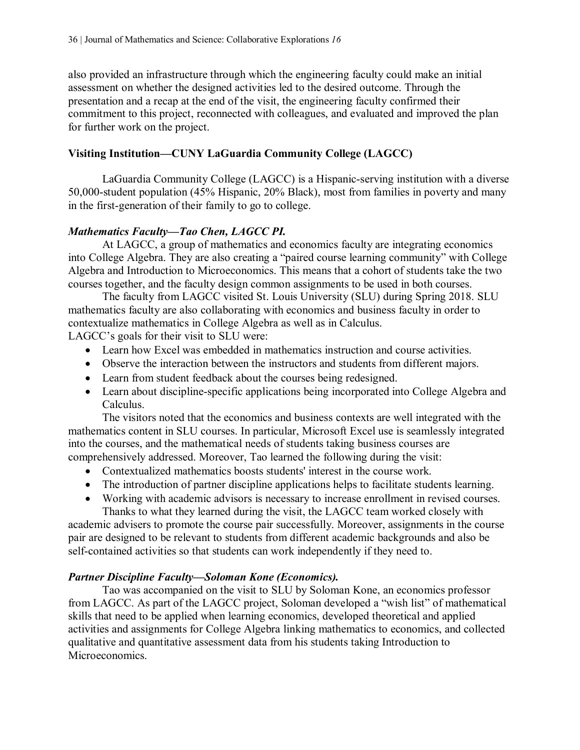also provided an infrastructure through which the engineering faculty could make an initial assessment on whether the designed activities led to the desired outcome. Through the presentation and a recap at the end of the visit, the engineering faculty confirmed their commitment to this project, reconnected with colleagues, and evaluated and improved the plan for further work on the project.

# **Visiting Institution—CUNY LaGuardia Community College (LAGCC)**

LaGuardia Community College (LAGCC) is a Hispanic-serving institution with a diverse 50,000-student population (45% Hispanic, 20% Black), most from families in poverty and many in the first-generation of their family to go to college.

# *Mathematics Faculty—Tao Chen, LAGCC PI.*

At LAGCC, a group of mathematics and economics faculty are integrating economics into College Algebra. They are also creating a "paired course learning community" with College Algebra and Introduction to Microeconomics. This means that a cohort of students take the two courses together, and the faculty design common assignments to be used in both courses.

The faculty from LAGCC visited St. Louis University (SLU) during Spring 2018. SLU mathematics faculty are also collaborating with economics and business faculty in order to contextualize mathematics in College Algebra as well as in Calculus.

LAGCC's goals for their visit to SLU were:

- Learn how Excel was embedded in mathematics instruction and course activities.
- Observe the interaction between the instructors and students from different majors.
- Learn from student feedback about the courses being redesigned.
- Learn about discipline-specific applications being incorporated into College Algebra and Calculus.

The visitors noted that the economics and business contexts are well integrated with the mathematics content in SLU courses. In particular, Microsoft Excel use is seamlessly integrated into the courses, and the mathematical needs of students taking business courses are comprehensively addressed. Moreover, Tao learned the following during the visit:

- Contextualized mathematics boosts students' interest in the course work.
- The introduction of partner discipline applications helps to facilitate students learning.
- Working with academic advisors is necessary to increase enrollment in revised courses. Thanks to what they learned during the visit, the LAGCC team worked closely with

academic advisers to promote the course pair successfully. Moreover, assignments in the course pair are designed to be relevant to students from different academic backgrounds and also be self-contained activities so that students can work independently if they need to.

# *Partner Discipline Faculty—Soloman Kone (Economics).*

Tao was accompanied on the visit to SLU by Soloman Kone, an economics professor from LAGCC. As part of the LAGCC project, Soloman developed a "wish list" of mathematical skills that need to be applied when learning economics, developed theoretical and applied activities and assignments for College Algebra linking mathematics to economics, and collected qualitative and quantitative assessment data from his students taking Introduction to Microeconomics.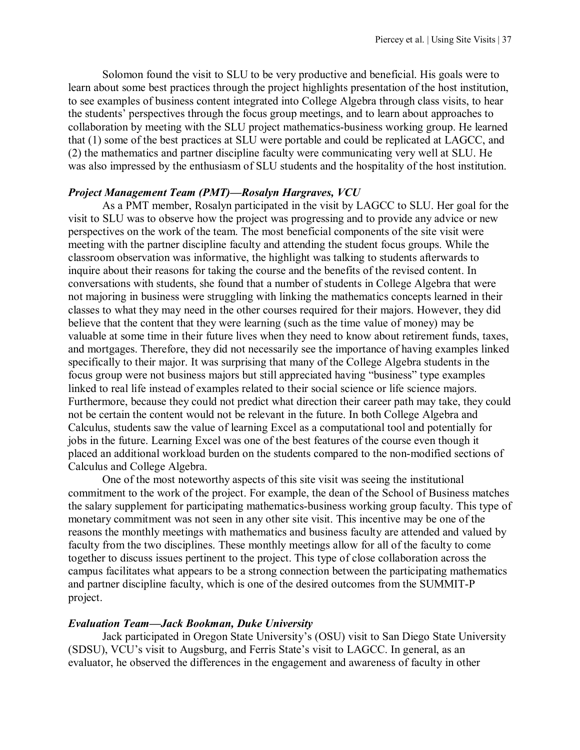Solomon found the visit to SLU to be very productive and beneficial. His goals were to learn about some best practices through the project highlights presentation of the host institution, to see examples of business content integrated into College Algebra through class visits, to hear the students' perspectives through the focus group meetings, and to learn about approaches to collaboration by meeting with the SLU project mathematics-business working group. He learned that (1) some of the best practices at SLU were portable and could be replicated at LAGCC, and (2) the mathematics and partner discipline faculty were communicating very well at SLU. He was also impressed by the enthusiasm of SLU students and the hospitality of the host institution.

#### *Project Management Team (PMT)—Rosalyn Hargraves, VCU*

As a PMT member, Rosalyn participated in the visit by LAGCC to SLU. Her goal for the visit to SLU was to observe how the project was progressing and to provide any advice or new perspectives on the work of the team. The most beneficial components of the site visit were meeting with the partner discipline faculty and attending the student focus groups. While the classroom observation was informative, the highlight was talking to students afterwards to inquire about their reasons for taking the course and the benefits of the revised content. In conversations with students, she found that a number of students in College Algebra that were not majoring in business were struggling with linking the mathematics concepts learned in their classes to what they may need in the other courses required for their majors. However, they did believe that the content that they were learning (such as the time value of money) may be valuable at some time in their future lives when they need to know about retirement funds, taxes, and mortgages. Therefore, they did not necessarily see the importance of having examples linked specifically to their major. It was surprising that many of the College Algebra students in the focus group were not business majors but still appreciated having "business" type examples linked to real life instead of examples related to their social science or life science majors. Furthermore, because they could not predict what direction their career path may take, they could not be certain the content would not be relevant in the future. In both College Algebra and Calculus, students saw the value of learning Excel as a computational tool and potentially for jobs in the future. Learning Excel was one of the best features of the course even though it placed an additional workload burden on the students compared to the non-modified sections of Calculus and College Algebra.

 One of the most noteworthy aspects of this site visit was seeing the institutional commitment to the work of the project. For example, the dean of the School of Business matches the salary supplement for participating mathematics-business working group faculty. This type of monetary commitment was not seen in any other site visit. This incentive may be one of the reasons the monthly meetings with mathematics and business faculty are attended and valued by faculty from the two disciplines. These monthly meetings allow for all of the faculty to come together to discuss issues pertinent to the project. This type of close collaboration across the campus facilitates what appears to be a strong connection between the participating mathematics and partner discipline faculty, which is one of the desired outcomes from the SUMMIT-P project.

#### *Evaluation Team—Jack Bookman, Duke University*

Jack participated in Oregon State University's (OSU) visit to San Diego State University (SDSU), VCU's visit to Augsburg, and Ferris State's visit to LAGCC. In general, as an evaluator, he observed the differences in the engagement and awareness of faculty in other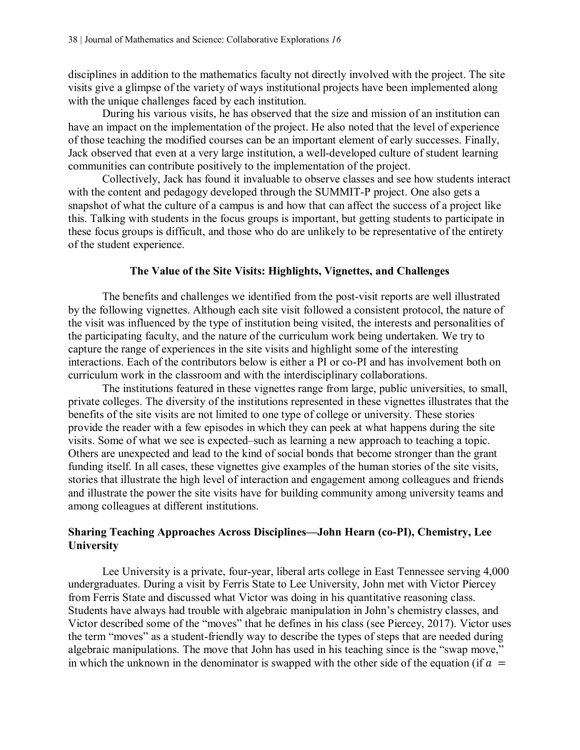disciplines in addition to the mathematics faculty not directly involved with the project. The site visits give a glimpse of the variety of ways institutional projects have been implemented along with the unique challenges faced by each institution.

During his various visits, he has observed that the size and mission of an institution can have an impact on the implementation of the project. He also noted that the level of experience of those teaching the modified courses can be an important element of early successes. Finally, Jack observed that even at a very large institution, a well-developed culture of student learning communities can contribute positively to the implementation of the project.

Collectively, Jack has found it invaluable to observe classes and see how students interact with the content and pedagogy developed through the SUMMIT-P project. One also gets a snapshot of what the culture of a campus is and how that can affect the success of a project like this. Talking with students in the focus groups is important, but getting students to participate in these focus groups is difficult, and those who do are unlikely to be representative of the entirety of the student experience.

# **The Value of the Site Visits: Highlights, Vignettes, and Challenges**

The benefits and challenges we identified from the post-visit reports are well illustrated by the following vignettes. Although each site visit followed a consistent protocol, the nature of the visit was influenced by the type of institution being visited, the interests and personalities of the participating faculty, and the nature of the curriculum work being undertaken. We try to capture the range of experiences in the site visits and highlight some of the interesting interactions. Each of the contributors below is either a PI or co-PI and has involvement both on curriculum work in the classroom and with the interdisciplinary collaborations.

The institutions featured in these vignettes range from large, public universities, to small, private colleges. The diversity of the institutions represented in these vignettes illustrates that the benefits of the site visits are not limited to one type of college or university. These stories provide the reader with a few episodes in which they can peek at what happens during the site visits. Some of what we see is expected–such as learning a new approach to teaching a topic. Others are unexpected and lead to the kind of social bonds that become stronger than the grant funding itself. In all cases, these vignettes give examples of the human stories of the site visits, stories that illustrate the high level of interaction and engagement among colleagues and friends and illustrate the power the site visits have for building community among university teams and among colleagues at different institutions.

## **Sharing Teaching Approaches Across Disciplines—John Hearn (co-PI), Chemistry, Lee University**

Lee University is a private, four-year, liberal arts college in East Tennessee serving 4,000 undergraduates. During a visit by Ferris State to Lee University, John met with Victor Piercey from Ferris State and discussed what Victor was doing in his quantitative reasoning class. Students have always had trouble with algebraic manipulation in John's chemistry classes, and Victor described some of the "moves" that he defines in his class (see Piercey, 2017). Victor uses the term "moves" as a student-friendly way to describe the types of steps that are needed during algebraic manipulations. The move that John has used in his teaching since is the "swap move," in which the unknown in the denominator is swapped with the other side of the equation (if  $a =$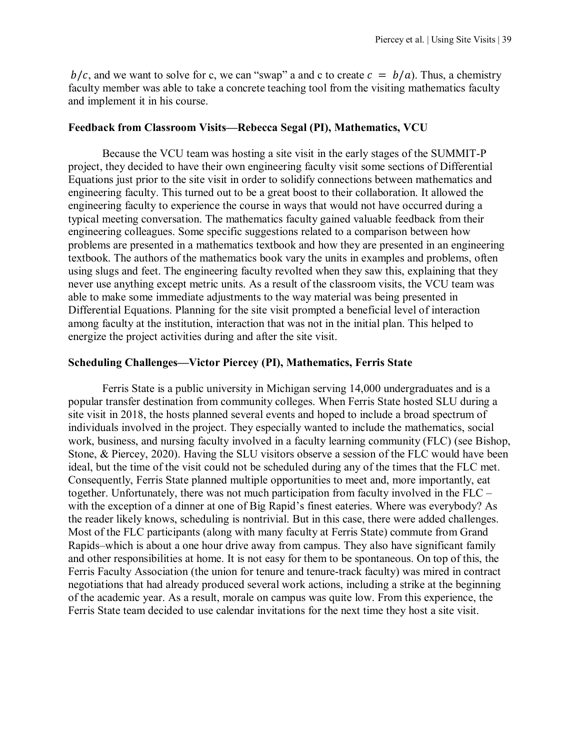$b/c$ , and we want to solve for c, we can "swap" a and c to create  $c = b/a$ ). Thus, a chemistry faculty member was able to take a concrete teaching tool from the visiting mathematics faculty and implement it in his course.

#### **Feedback from Classroom Visits—Rebecca Segal (PI), Mathematics, VCU**

Because the VCU team was hosting a site visit in the early stages of the SUMMIT-P project, they decided to have their own engineering faculty visit some sections of Differential Equations just prior to the site visit in order to solidify connections between mathematics and engineering faculty. This turned out to be a great boost to their collaboration. It allowed the engineering faculty to experience the course in ways that would not have occurred during a typical meeting conversation. The mathematics faculty gained valuable feedback from their engineering colleagues. Some specific suggestions related to a comparison between how problems are presented in a mathematics textbook and how they are presented in an engineering textbook. The authors of the mathematics book vary the units in examples and problems, often using slugs and feet. The engineering faculty revolted when they saw this, explaining that they never use anything except metric units. As a result of the classroom visits, the VCU team was able to make some immediate adjustments to the way material was being presented in Differential Equations. Planning for the site visit prompted a beneficial level of interaction among faculty at the institution, interaction that was not in the initial plan. This helped to energize the project activities during and after the site visit.

#### **Scheduling Challenges—Victor Piercey (PI), Mathematics, Ferris State**

Ferris State is a public university in Michigan serving 14,000 undergraduates and is a popular transfer destination from community colleges. When Ferris State hosted SLU during a site visit in 2018, the hosts planned several events and hoped to include a broad spectrum of individuals involved in the project. They especially wanted to include the mathematics, social work, business, and nursing faculty involved in a faculty learning community (FLC) (see Bishop, Stone, & Piercey, 2020). Having the SLU visitors observe a session of the FLC would have been ideal, but the time of the visit could not be scheduled during any of the times that the FLC met. Consequently, Ferris State planned multiple opportunities to meet and, more importantly, eat together. Unfortunately, there was not much participation from faculty involved in the FLC – with the exception of a dinner at one of Big Rapid's finest eateries. Where was everybody? As the reader likely knows, scheduling is nontrivial. But in this case, there were added challenges. Most of the FLC participants (along with many faculty at Ferris State) commute from Grand Rapids–which is about a one hour drive away from campus. They also have significant family and other responsibilities at home. It is not easy for them to be spontaneous. On top of this, the Ferris Faculty Association (the union for tenure and tenure-track faculty) was mired in contract negotiations that had already produced several work actions, including a strike at the beginning of the academic year. As a result, morale on campus was quite low. From this experience, the Ferris State team decided to use calendar invitations for the next time they host a site visit.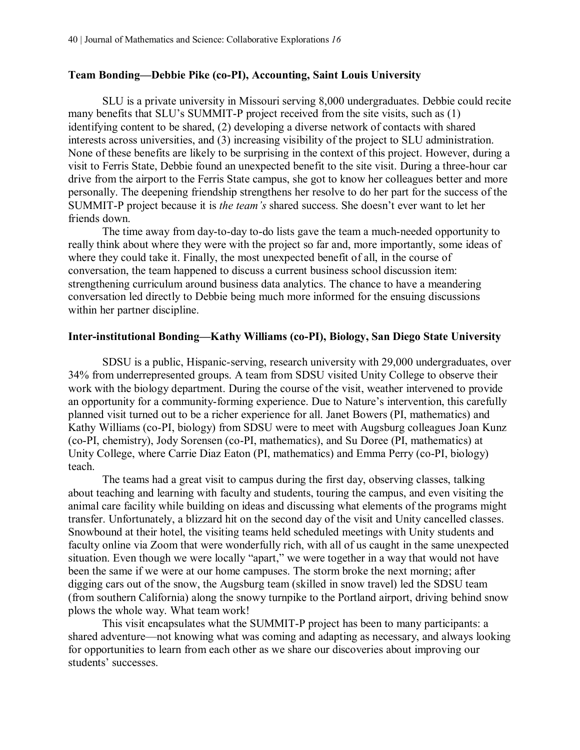#### **Team Bonding—Debbie Pike (co-PI), Accounting, Saint Louis University**

SLU is a private university in Missouri serving 8,000 undergraduates. Debbie could recite many benefits that SLU's SUMMIT-P project received from the site visits, such as (1) identifying content to be shared, (2) developing a diverse network of contacts with shared interests across universities, and (3) increasing visibility of the project to SLU administration. None of these benefits are likely to be surprising in the context of this project. However, during a visit to Ferris State, Debbie found an unexpected benefit to the site visit. During a three-hour car drive from the airport to the Ferris State campus, she got to know her colleagues better and more personally. The deepening friendship strengthens her resolve to do her part for the success of the SUMMIT-P project because it is *the team's* shared success. She doesn't ever want to let her friends down.

The time away from day-to-day to-do lists gave the team a much-needed opportunity to really think about where they were with the project so far and, more importantly, some ideas of where they could take it. Finally, the most unexpected benefit of all, in the course of conversation, the team happened to discuss a current business school discussion item: strengthening curriculum around business data analytics. The chance to have a meandering conversation led directly to Debbie being much more informed for the ensuing discussions within her partner discipline.

#### **Inter-institutional Bonding—Kathy Williams (co-PI), Biology, San Diego State University**

SDSU is a public, Hispanic-serving, research university with 29,000 undergraduates, over 34% from underrepresented groups. A team from SDSU visited Unity College to observe their work with the biology department. During the course of the visit, weather intervened to provide an opportunity for a community-forming experience. Due to Nature's intervention, this carefully planned visit turned out to be a richer experience for all. Janet Bowers (PI, mathematics) and Kathy Williams (co-PI, biology) from SDSU were to meet with Augsburg colleagues Joan Kunz (co-PI, chemistry), Jody Sorensen (co-PI, mathematics), and Su Doree (PI, mathematics) at Unity College, where Carrie Diaz Eaton (PI, mathematics) and Emma Perry (co-PI, biology) teach.

The teams had a great visit to campus during the first day, observing classes, talking about teaching and learning with faculty and students, touring the campus, and even visiting the animal care facility while building on ideas and discussing what elements of the programs might transfer. Unfortunately, a blizzard hit on the second day of the visit and Unity cancelled classes. Snowbound at their hotel, the visiting teams held scheduled meetings with Unity students and faculty online via Zoom that were wonderfully rich, with all of us caught in the same unexpected situation. Even though we were locally "apart," we were together in a way that would not have been the same if we were at our home campuses. The storm broke the next morning; after digging cars out of the snow, the Augsburg team (skilled in snow travel) led the SDSU team (from southern California) along the snowy turnpike to the Portland airport, driving behind snow plows the whole way. What team work!

This visit encapsulates what the SUMMIT-P project has been to many participants: a shared adventure—not knowing what was coming and adapting as necessary, and always looking for opportunities to learn from each other as we share our discoveries about improving our students' successes.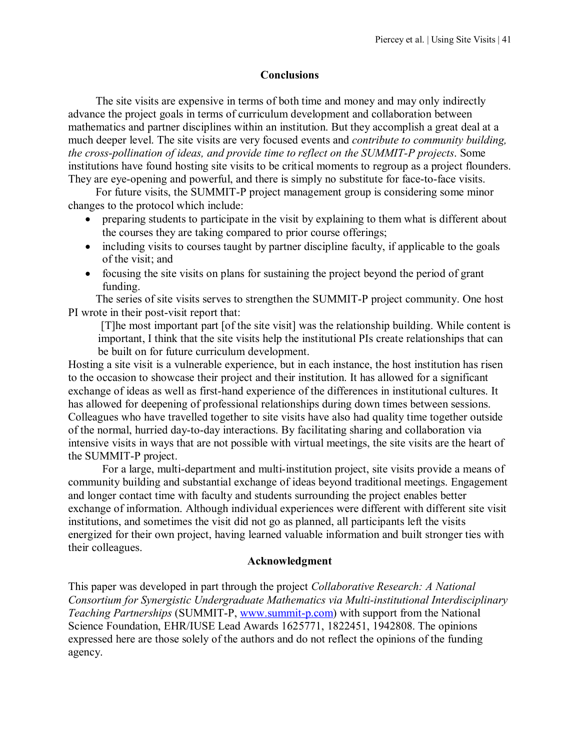#### **Conclusions**

The site visits are expensive in terms of both time and money and may only indirectly advance the project goals in terms of curriculum development and collaboration between mathematics and partner disciplines within an institution. But they accomplish a great deal at a much deeper level. The site visits are very focused events and *contribute to community building, the cross-pollination of ideas, and provide time to reflect on the SUMMIT-P projects*. Some institutions have found hosting site visits to be critical moments to regroup as a project flounders. They are eye-opening and powerful, and there is simply no substitute for face-to-face visits.

For future visits, the SUMMIT-P project management group is considering some minor changes to the protocol which include:

- preparing students to participate in the visit by explaining to them what is different about the courses they are taking compared to prior course offerings;
- including visits to courses taught by partner discipline faculty, if applicable to the goals of the visit; and
- focusing the site visits on plans for sustaining the project beyond the period of grant funding.

The series of site visits serves to strengthen the SUMMIT-P project community. One host PI wrote in their post-visit report that:

[T]he most important part [of the site visit] was the relationship building. While content is important, I think that the site visits help the institutional PIs create relationships that can be built on for future curriculum development.

Hosting a site visit is a vulnerable experience, but in each instance, the host institution has risen to the occasion to showcase their project and their institution. It has allowed for a significant exchange of ideas as well as first-hand experience of the differences in institutional cultures. It has allowed for deepening of professional relationships during down times between sessions. Colleagues who have travelled together to site visits have also had quality time together outside of the normal, hurried day-to-day interactions. By facilitating sharing and collaboration via intensive visits in ways that are not possible with virtual meetings, the site visits are the heart of the SUMMIT-P project.

For a large, multi-department and multi-institution project, site visits provide a means of community building and substantial exchange of ideas beyond traditional meetings. Engagement and longer contact time with faculty and students surrounding the project enables better exchange of information. Although individual experiences were different with different site visit institutions, and sometimes the visit did not go as planned, all participants left the visits energized for their own project, having learned valuable information and built stronger ties with their colleagues.

#### **Acknowledgment**

This paper was developed in part through the project *Collaborative Research: A National Consortium for Synergistic Undergraduate Mathematics via Multi-institutional Interdisciplinary Teaching Partnerships* (SUMMIT-P, [www.summit-p.com\)](http://www.summit-p.com/) with support from the National Science Foundation, EHR/IUSE Lead Awards 1625771, 1822451, 1942808. The opinions expressed here are those solely of the authors and do not reflect the opinions of the funding agency.